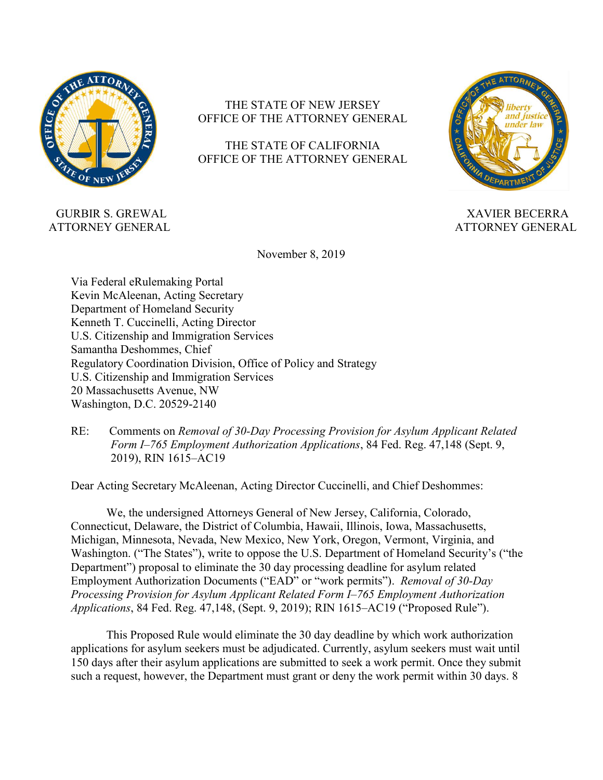

# THE STATE OF NEW JERSEY OFFICE OF THE ATTORNEY GENERAL

# THE STATE OF CALIFORNIA OFFICE OF THE ATTORNEY GENERAL



ATTORNEY GENERAL ATTORNEY GENERAL

GURBIR S. GREWAL XAVIER BECERRA

November 8, 2019

Via Federal eRulemaking Portal Kevin McAleenan, Acting Secretary Department of Homeland Security Kenneth T. [Cuccinelli,](https://www.uscis.gov/about-us/leadership/kenneth-t-ken-cuccinelli-ii-acting-director-uscis) Acting Director U.S. Citizenship and Immigration Services Samantha Deshommes, Chief Regulatory Coordination Division, Office of Policy and Strategy U.S. Citizenship and Immigration Services 20 Massachusetts Avenue, NW Washington, D.C. 20529-2140

RE: Comments on *Removal of 30-Day Processing Provision for Asylum Applicant Related Form I–765 Employment Authorization Applications*, 84 Fed. Reg. 47,148 (Sept. 9, 2019), RIN 1615–AC19

Dear Acting Secretary McAleenan, Acting Director [Cuccinelli,](https://www.uscis.gov/about-us/leadership/kenneth-t-ken-cuccinelli-ii-acting-director-uscis) and Chief Deshommes:

We, the undersigned Attorneys General of New Jersey, California, Colorado, Connecticut, Delaware, the District of Columbia, Hawaii, Illinois, Iowa, Massachusetts, Michigan, Minnesota, Nevada, New Mexico, New York, Oregon, Vermont, Virginia, and Washington. ("The States"), write to oppose the U.S. Department of Homeland Security's ("the Department") proposal to eliminate the 30 day processing deadline for asylum related Employment Authorization Documents ("EAD" or "work permits"). *Removal of 30-Day Processing Provision for Asylum Applicant Related Form I–765 Employment Authorization Applications*, 84 Fed. Reg. 47,148, (Sept. 9, 2019); RIN 1615–AC19 ("Proposed Rule").

This Proposed Rule would eliminate the 30 day deadline by which work authorization applications for asylum seekers must be adjudicated. Currently, asylum seekers must wait until 150 days after their asylum applications are submitted to seek a work permit. Once they submit such a request, however, the Department must grant or deny the work permit within 30 days. 8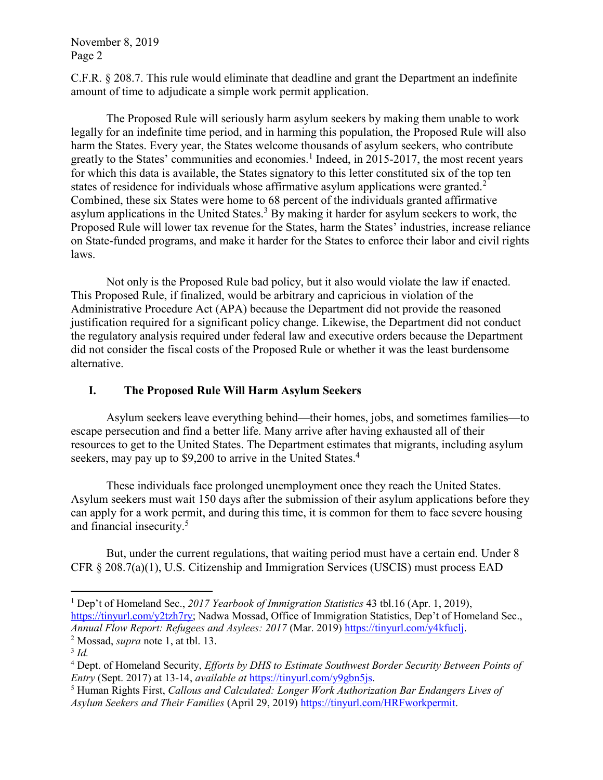C.F.R. § 208.7. This rule would eliminate that deadline and grant the Department an indefinite amount of time to adjudicate a simple work permit application.

 The Proposed Rule will seriously harm asylum seekers by making them unable to work legally for an indefinite time period, and in harming this population, the Proposed Rule will also harm the States. Every year, the States welcome thousands of asylum seekers, who contribute greatly to the States' communities and economies.<sup>1</sup> Indeed, in 2015-2017, the most recent years for which this data is available, the States signatory to this letter constituted six of the top ten states of residence for individuals whose affirmative asylum applications were granted.<sup>2</sup> Combined, these six States were home to 68 percent of the individuals granted affirmative asylum applications in the United States.<sup>3</sup> By making it harder for asylum seekers to work, the Proposed Rule will lower tax revenue for the States, harm the States' industries, increase reliance on State-funded programs, and make it harder for the States to enforce their labor and civil rights laws.

 Not only is the Proposed Rule bad policy, but it also would violate the law if enacted. This Proposed Rule, if finalized, would be arbitrary and capricious in violation of the Administrative Procedure Act (APA) because the Department did not provide the reasoned justification required for a significant policy change. Likewise, the Department did not conduct the regulatory analysis required under federal law and executive orders because the Department did not consider the fiscal costs of the Proposed Rule or whether it was the least burdensome alternative.

# **I. The Proposed Rule Will Harm Asylum Seekers**

Asylum seekers leave everything behind—their homes, jobs, and sometimes families—to escape persecution and find a better life. Many arrive after having exhausted all of their resources to get to the United States. The Department estimates that migrants, including asylum seekers, may pay up to \$9,200 to arrive in the United States.<sup>4</sup>

These individuals face prolonged unemployment once they reach the United States. Asylum seekers must wait 150 days after the submission of their asylum applications before they can apply for a work permit, and during this time, it is common for them to face severe housing and financial insecurity.<sup>5</sup>

But, under the current regulations, that waiting period must have a certain end. Under 8 CFR § 208.7(a)(1), U.S. Citizenship and Immigration Services (USCIS) must process EAD

 1 Dep't of Homeland Sec., *2017 Yearbook of Immigration Statistics* 43 tbl.16 (Apr. 1, 2019), [https://tinyurl.com/y2tzh7ry;](https://tinyurl.com/y2tzh7ry) Nadwa Mossad, Office of Immigration Statistics, Dep't of Homeland Sec., *Annual Flow Report: Refugees and Asylees: 2017* (Mar. 2019) [https://tinyurl.com/y4kfuclj.](https://tinyurl.com/y4kfuclj)

<sup>2</sup> Mossad, *supra* note 1, at tbl. 13.

<sup>3</sup> *Id.*

<sup>4</sup> Dept. of Homeland Security, *Efforts by DHS to Estimate Southwest Border Security Between Points of Entry* (Sept. 2017) at 13-14, *available at* [https://tinyurl.com/y9gbn5js.](https://tinyurl.com/y9gbn5js)

<sup>5</sup> Human Rights First, *Callous and Calculated: Longer Work Authorization Bar Endangers Lives of Asylum Seekers and Their Families* (April 29, 2019) [https://tinyurl.com/HRFworkpermit.](https://tinyurl.com/HRFworkpermit)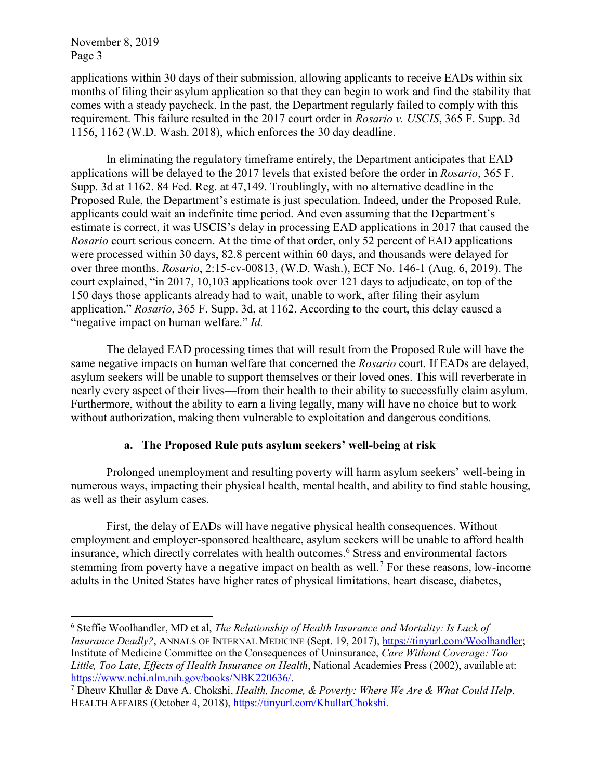$\overline{a}$ 

applications within 30 days of their submission, allowing applicants to receive EADs within six months of filing their asylum application so that they can begin to work and find the stability that comes with a steady paycheck. In the past, the Department regularly failed to comply with this requirement. This failure resulted in the 2017 court order in *Rosario v. USCIS*, 365 F. Supp. 3d 1156, 1162 (W.D. Wash. 2018), which enforces the 30 day deadline.

In eliminating the regulatory timeframe entirely, the Department anticipates that EAD applications will be delayed to the 2017 levels that existed before the order in *Rosario*, 365 F. Supp. 3d at 1162. 84 Fed. Reg. at 47,149. Troublingly, with no alternative deadline in the Proposed Rule, the Department's estimate is just speculation. Indeed, under the Proposed Rule, applicants could wait an indefinite time period. And even assuming that the Department's estimate is correct, it was USCIS's delay in processing EAD applications in 2017 that caused the *Rosario* court serious concern. At the time of that order, only 52 percent of EAD applications were processed within 30 days, 82.8 percent within 60 days, and thousands were delayed for over three months. *Rosario*, 2:15-cv-00813, (W.D. Wash.), ECF No. 146-1 (Aug. 6, 2019). The court explained, "in 2017, 10,103 applications took over 121 days to adjudicate, on top of the 150 days those applicants already had to wait, unable to work, after filing their asylum application." *Rosario*, 365 F. Supp. 3d, at 1162. According to the court, this delay caused a "negative impact on human welfare." *Id.* 

The delayed EAD processing times that will result from the Proposed Rule will have the same negative impacts on human welfare that concerned the *Rosario* court. If EADs are delayed, asylum seekers will be unable to support themselves or their loved ones. This will reverberate in nearly every aspect of their lives—from their health to their ability to successfully claim asylum. Furthermore, without the ability to earn a living legally, many will have no choice but to work without authorization, making them vulnerable to exploitation and dangerous conditions.

### **a. The Proposed Rule puts asylum seekers' well-being at risk**

Prolonged unemployment and resulting poverty will harm asylum seekers' well-being in numerous ways, impacting their physical health, mental health, and ability to find stable housing, as well as their asylum cases.

First, the delay of EADs will have negative physical health consequences. Without employment and employer-sponsored healthcare, asylum seekers will be unable to afford health insurance, which directly correlates with health outcomes.<sup>6</sup> Stress and environmental factors stemming from poverty have a negative impact on health as well.<sup>7</sup> For these reasons, low-income adults in the United States have higher rates of physical limitations, heart disease, diabetes,

<sup>6</sup> Steffie Woolhandler, MD et al, *The Relationship of Health Insurance and Mortality: Is Lack of Insurance Deadly?*, ANNALS OF INTERNAL MEDICINE (Sept. 19, 2017), [https://tinyurl.com/Woolhandler;](https://tinyurl.com/Woolhandler) Institute of Medicine Committee on the Consequences of Uninsurance, *Care Without Coverage: Too Little, Too Late*, *Effects of Health Insurance on Health*, National Academies Press (2002), available at: [https://www.ncbi.nlm.nih.gov/books/NBK220636/.](https://www.ncbi.nlm.nih.gov/books/NBK220636/)

<sup>7</sup> Dheuv Khullar & Dave A. Chokshi, *Health, Income, & Poverty: Where We Are & What Could Help*, HEALTH AFFAIRS (October 4, 2018), [https://tinyurl.com/KhullarChokshi.](https://tinyurl.com/KhullarChokshi)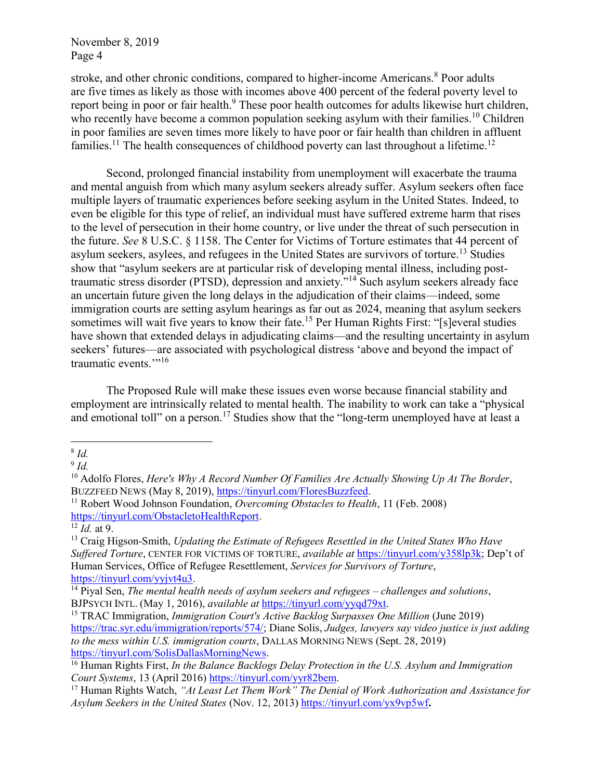stroke, and other chronic conditions, compared to higher-income Americans.<sup>8</sup> Poor adults are five times as likely as those with incomes above 400 percent of the federal poverty level to report being in poor or fair health.<sup>9</sup> These poor health outcomes for adults likewise hurt children, who recently have become a common population seeking asylum with their families.<sup>10</sup> Children in poor families are seven times more likely to have poor or fair health than children in affluent families.<sup>11</sup> The health consequences of childhood poverty can last throughout a lifetime.<sup>12</sup>

Second, prolonged financial instability from unemployment will exacerbate the trauma and mental anguish from which many asylum seekers already suffer. Asylum seekers often face multiple layers of traumatic experiences before seeking asylum in the United States. Indeed, to even be eligible for this type of relief, an individual must have suffered extreme harm that rises to the level of persecution in their home country, or live under the threat of such persecution in the future. *See* 8 U.S.C. § 1158. The Center for Victims of Torture estimates that 44 percent of asylum seekers, asylees, and refugees in the United States are survivors of torture.<sup>13</sup> Studies show that "asylum seekers are at particular risk of developing mental illness, including posttraumatic stress disorder (PTSD), depression and anxiety." <sup>14</sup> Such asylum seekers already face an uncertain future given the long delays in the adjudication of their claims—indeed, some immigration courts are setting asylum hearings as far out as 2024, meaning that asylum seekers sometimes will wait five years to know their fate.<sup>15</sup> Per Human Rights First: "[s]everal studies have shown that extended delays in adjudicating claims—and the resulting uncertainty in asylum seekers' futures—are associated with psychological distress 'above and beyond the impact of traumatic events.'"<sup>16</sup>

The Proposed Rule will make these issues even worse because financial stability and employment are intrinsically related to mental health. The inability to work can take a "physical and emotional toll" on a person.<sup>17</sup> Studies show that the "long-term unemployed have at least a

 $\overline{a}$ 8 *Id.*

<sup>9</sup> *Id.*

<sup>10</sup> Adolfo Flores, *Here's Why A Record Number Of Families Are Actually Showing Up At The Border*, BUZZFEED NEWS (May 8, 2019), [https://tinyurl.com/FloresBuzzfeed.](https://tinyurl.com/FloresBuzzfeed)

<sup>11</sup> Robert Wood Johnson Foundation, *Overcoming Obstacles to Health*, 11 (Feb. 2008) [https://tinyurl.com/ObstacletoHealthReport.](https://tinyurl.com/ObstacletoHealthReport)

 $\overline{^{12}$  *Id.* at 9.

<sup>13</sup> Craig Higson-Smith, *Updating the Estimate of Refugees Resettled in the United States Who Have Suffered Torture*, CENTER FOR VICTIMS OF TORTURE, *available at* [https://tinyurl.com/y358lp3k;](https://tinyurl.com/y358lp3k) Dep't of Human Services, Office of Refugee Resettlement, *Services for Survivors of Torture*, [https://tinyurl.com/yyjvt4u3.](https://tinyurl.com/yyjvt4u3)

<sup>14</sup> Piyal Sen, *The mental health needs of asylum seekers and refugees – challenges and solutions*, BJPSYCH INTL. (May 1, 2016), *available at* [https://tinyurl.com/yyqd79xt.](https://tinyurl.com/yyqd79xt)

<sup>&</sup>lt;sup>15</sup> TRAC Immigration, *Immigration Court's Active Backlog Surpasses One Million* (June 2019) [https://trac.syr.edu/immigration/reports/574/;](https://trac.syr.edu/immigration/reports/574/) Diane Solis, *Judges, lawyers say video justice is just adding to the mess within U.S. immigration courts*, DALLAS MORNING NEWS (Sept. 28, 2019) [https://tinyurl.com/SolisDallasMorningNews.](https://tinyurl.com/SolisDallasMorningNews)

<sup>16</sup> Human Rights First, *In the Balance Backlogs Delay Protection in the U.S. Asylum and Immigration Court Systems*, 13 (April 2016) [https://tinyurl.com/yyr82bem.](https://tinyurl.com/yyr82bem)

<sup>17</sup> Human Rights Watch, *"At Least Let Them Work" The Denial of Work Authorization and Assistance for Asylum Seekers in the United States* (Nov. 12, 2013[\) https://tinyurl.com/yx9vp5wf](https://tinyurl.com/yx9vp5wf)**.**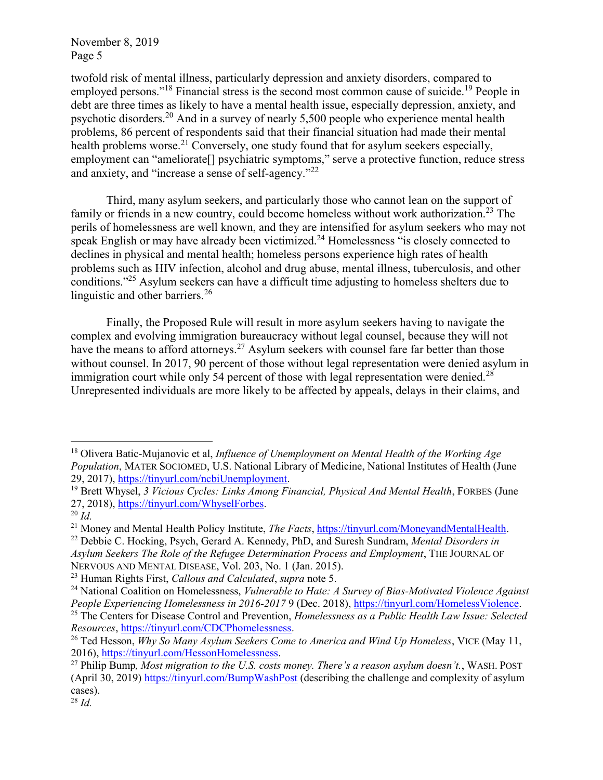twofold risk of mental illness, particularly depression and anxiety disorders, compared to employed persons."<sup>18</sup> Financial stress is the second most common cause of suicide.<sup>19</sup> People in debt are three times as likely to have a mental health issue, especially depression, anxiety, and psychotic disorders.<sup>20</sup> And in a survey of nearly 5,500 people who experience mental health problems, 86 percent of respondents said that their financial situation had made their mental health problems worse.<sup>21</sup> Conversely, one study found that for asylum seekers especially, employment can "ameliorate<sup>[]</sup> psychiatric symptoms," serve a protective function, reduce stress and anxiety, and "increase a sense of self-agency."<sup>22</sup>

Third, many asylum seekers, and particularly those who cannot lean on the support of family or friends in a new country, could become homeless without work authorization.<sup>23</sup> The perils of homelessness are well known, and they are intensified for asylum seekers who may not speak English or may have already been victimized.<sup>24</sup> Homelessness "is closely connected to declines in physical and mental health; homeless persons experience high rates of health problems such as HIV infection, alcohol and drug abuse, mental illness, tuberculosis, and other conditions."<sup>25</sup> Asylum seekers can have a difficult time adjusting to homeless shelters due to linguistic and other barriers.<sup>26</sup>

Finally, the Proposed Rule will result in more asylum seekers having to navigate the complex and evolving immigration bureaucracy without legal counsel, because they will not have the means to afford attorneys.<sup>27</sup> Asylum seekers with counsel fare far better than those without counsel. In 2017, 90 percent of those without legal representation were denied asylum in immigration court while only 54 percent of those with legal representation were denied.<sup>28</sup> Unrepresented individuals are more likely to be affected by appeals, delays in their claims, and

<sup>18</sup> Olivera Batic-Mujanovic et al, *Influence of Unemployment on Mental Health of the Working Age Population*, MATER SOCIOMED, U.S. National Library of Medicine, National Institutes of Health (June 29, 2017)[, https://tinyurl.com/ncbiUnemployment.](https://tinyurl.com/ncbiUnemployment)

<sup>&</sup>lt;sup>19</sup> Brett Whysel, 3 Vicious Cycles: Links Among Financial, Physical And Mental Health, FORBES (June 27, 2018)[, https://tinyurl.com/WhyselForbes.](https://tinyurl.com/WhyselForbes)

<sup>20</sup> *Id.*

<sup>21</sup> Money and Mental Health Policy Institute, *The Facts*, [https://tinyurl.com/MoneyandMentalHealth.](https://tinyurl.com/MoneyandMentalHealth)

<sup>22</sup> Debbie C. Hocking, Psych, Gerard A. Kennedy, PhD, and Suresh Sundram, *Mental Disorders in Asylum Seekers The Role of the Refugee Determination Process and Employment*, THE JOURNAL OF NERVOUS AND MENTAL DISEASE, Vol. 203, No. 1 (Jan. 2015).

<sup>23</sup> Human Rights First, *Callous and Calculated*, *supra* note 5.

<sup>24</sup> National Coalition on Homelessness, *Vulnerable to Hate: A Survey of Bias-Motivated Violence Against People Experiencing Homelessness in 2016-2017* 9 (Dec. 2018), [https://tinyurl.com/HomelessViolence.](https://tinyurl.com/HomelessViolence)

<sup>25</sup> The Centers for Disease Control and Prevention, *Homelessness as a Public Health Law Issue: Selected Resources*[, https://tinyurl.com/CDCPhomelessness.](https://tinyurl.com/CDCPhomelessness)

<sup>26</sup> Ted Hesson, *Why So Many Asylum Seekers Come to America and Wind Up Homeless*, VICE (May 11, 2016), [https://tinyurl.com/HessonHomelessness.](https://tinyurl.com/HessonHomelessness)

<sup>27</sup> Philip Bump*, Most migration to the U.S. costs money. There's a reason asylum doesn't.*, WASH. POST (April 30, 2019)<https://tinyurl.com/BumpWashPost> (describing the challenge and complexity of asylum cases).

<sup>28</sup> *Id.*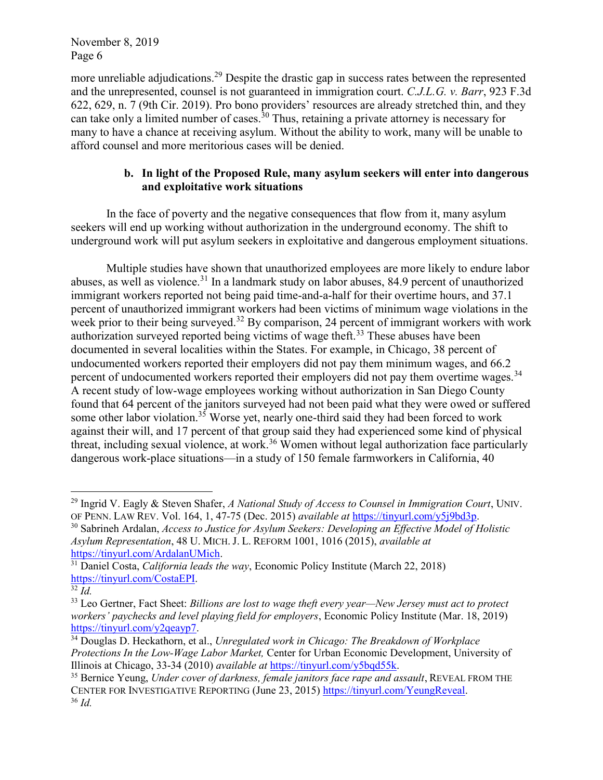more unreliable adjudications.<sup>29</sup> Despite the drastic gap in success rates between the represented and the unrepresented, counsel is not guaranteed in immigration court. *C.J.L.G. v. Barr*, 923 F.3d 622, 629, n. 7 (9th Cir. 2019). Pro bono providers' resources are already stretched thin, and they can take only a limited number of cases.<sup>30</sup> Thus, retaining a private attorney is necessary for many to have a chance at receiving asylum. Without the ability to work, many will be unable to afford counsel and more meritorious cases will be denied.

# **b. In light of the Proposed Rule, many asylum seekers will enter into dangerous and exploitative work situations**

In the face of poverty and the negative consequences that flow from it, many asylum seekers will end up working without authorization in the underground economy. The shift to underground work will put asylum seekers in exploitative and dangerous employment situations.

Multiple studies have shown that unauthorized employees are more likely to endure labor abuses, as well as violence.<sup>31</sup> In a landmark study on labor abuses, 84.9 percent of unauthorized immigrant workers reported not being paid time-and-a-half for their overtime hours, and 37.1 percent of unauthorized immigrant workers had been victims of minimum wage violations in the week prior to their being surveyed.<sup>32</sup> By comparison, 24 percent of immigrant workers with work authorization surveyed reported being victims of wage theft.<sup>33</sup> These abuses have been documented in several localities within the States. For example, in Chicago, 38 percent of undocumented workers reported their employers did not pay them minimum wages, and 66.2 percent of undocumented workers reported their employers did not pay them overtime wages.<sup>34</sup> A recent study of low-wage employees working without authorization in San Diego County found that 64 percent of the janitors surveyed had not been paid what they were owed or suffered some other labor violation.<sup>35</sup> Worse yet, nearly one-third said they had been forced to work against their will, and 17 percent of that group said they had experienced some kind of physical threat, including sexual violence, at work.<sup>36</sup> Women without legal authorization face particularly dangerous work-place situations—in a study of 150 female farmworkers in California, 40

<sup>29</sup> Ingrid V. Eagly & Steven Shafer, *A National Study of Access to Counsel in Immigration Court*, UNIV. OF PENN. LAW REV. Vol. 164, 1, 47-75 (Dec. 2015) *available at* [https://tinyurl.com/y5j9bd3p.](https://tinyurl.com/y5j9bd3p)

<sup>30</sup> Sabrineh Ardalan, *Access to Justice for Asylum Seekers: Developing an Effective Model of Holistic Asylum Representation*, 48 U. MICH. J. L. REFORM 1001, 1016 (2015), *available at* [https://tinyurl.com/ArdalanUMich.](https://tinyurl.com/ArdalanUMich)

<sup>31</sup> Daniel Costa, *California leads the way*, Economic Policy Institute (March 22, 2018) [https://tinyurl.com/CostaEPI.](https://tinyurl.com/CostaEPI)

 $\overline{\frac{32}{}}\,Id.$ 

<sup>33</sup> Leo Gertner, Fact Sheet: *Billions are lost to wage theft every year—New Jersey must act to protect workers' paychecks and level playing field for employers*, Economic Policy Institute (Mar. 18, 2019) [https://tinyurl.com/y2qeayp7.](https://tinyurl.com/y2qeayp7)

<sup>34</sup> Douglas D. Heckathorn, et al., *Unregulated work in Chicago: The Breakdown of Workplace Protections In the Low-Wage Labor Market,* Center for Urban Economic Development, University of Illinois at Chicago, 33-34 (2010) *available at* [https://tinyurl.com/y5bqd55k.](https://tinyurl.com/y5bqd55k)

<sup>&</sup>lt;sup>35</sup> Bernice Yeung, *Under cover of darkness, female janitors face rape and assault*, REVEAL FROM THE CENTER FOR INVESTIGATIVE REPORTING (June 23, 2015) [https://tinyurl.com/YeungReveal.](https://tinyurl.com/YeungReveal) <sup>36</sup> *Id.*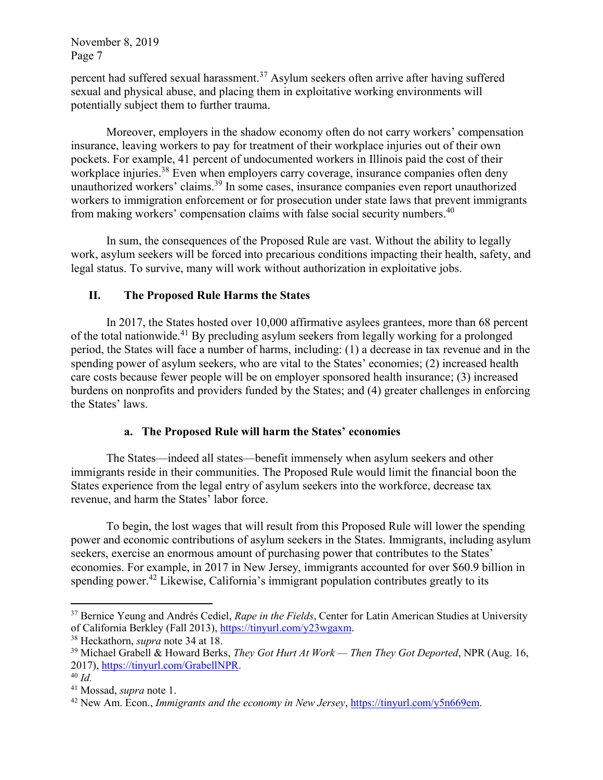percent had suffered sexual harassment.<sup>37</sup> Asylum seekers often arrive after having suffered sexual and physical abuse, and placing them in exploitative working environments will potentially subject them to further trauma.

Moreover, employers in the shadow economy often do not carry workers' compensation insurance, leaving workers to pay for treatment of their workplace injuries out of their own pockets. For example, 41 percent of undocumented workers in Illinois paid the cost of their workplace injuries.<sup>38</sup> Even when employers carry coverage, insurance companies often deny unauthorized workers' claims.<sup>39</sup> In some cases, insurance companies even report unauthorized workers to immigration enforcement or for prosecution under state laws that prevent immigrants from making workers' compensation claims with false social security numbers.<sup>40</sup>

In sum, the consequences of the Proposed Rule are vast. Without the ability to legally work, asylum seekers will be forced into precarious conditions impacting their health, safety, and legal status. To survive, many will work without authorization in exploitative jobs.

# **II. The Proposed Rule Harms the States**

In 2017, the States hosted over 10,000 affirmative asylees grantees, more than 68 percent of the total nationwide.<sup>41</sup> By precluding asylum seekers from legally working for a prolonged period, the States will face a number of harms, including: (1) a decrease in tax revenue and in the spending power of asylum seekers, who are vital to the States' economies; (2) increased health care costs because fewer people will be on employer sponsored health insurance; (3) increased burdens on nonprofits and providers funded by the States; and (4) greater challenges in enforcing the States' laws.

# **a. The Proposed Rule will harm the States' economies**

The States—indeed all states—benefit immensely when asylum seekers and other immigrants reside in their communities. The Proposed Rule would limit the financial boon the States experience from the legal entry of asylum seekers into the workforce, decrease tax revenue, and harm the States' labor force.

To begin, the lost wages that will result from this Proposed Rule will lower the spending power and economic contributions of asylum seekers in the States. Immigrants, including asylum seekers, exercise an enormous amount of purchasing power that contributes to the States' economies. For example, in 2017 in New Jersey, immigrants accounted for over \$60.9 billion in spending power.<sup>42</sup> Likewise, California's immigrant population contributes greatly to its

<sup>37</sup> Bernice Yeung and Andrés Cediel, *Rape in the Fields*, Center for Latin American Studies at University of California Berkley (Fall 2013), [https://tinyurl.com/y23wgaxm.](https://tinyurl.com/y23wgaxm)

<sup>38</sup> Heckathorn, *supra* note 34 at 18.

<sup>39</sup> Michael Grabell & Howard Berks, *They Got Hurt At Work — Then They Got Deported*, NPR (Aug. 16, 2017), [https://tinyurl.com/GrabellNPR.](https://tinyurl.com/GrabellNPR)

<sup>40</sup> *Id.*

<sup>41</sup> Mossad, *supra* note 1.

<sup>42</sup> New Am. Econ., *Immigrants and the economy in New Jersey*, [https://tinyurl.com/y5n669em.](https://tinyurl.com/y5n669em)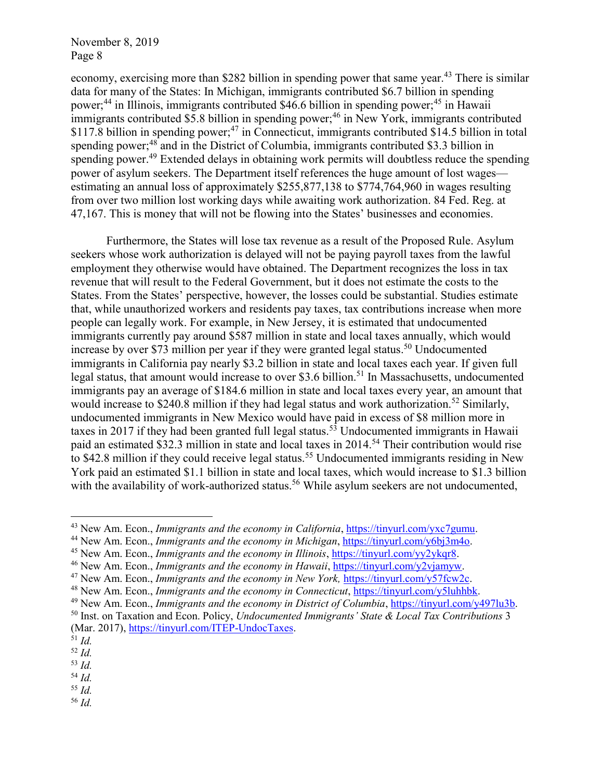economy, exercising more than \$282 billion in spending power that same year.<sup>43</sup> There is similar data for many of the States: In Michigan, immigrants contributed \$6.7 billion in spending power; <sup>44</sup> in Illinois, immigrants contributed \$46.6 billion in spending power; <sup>45</sup> in Hawaii immigrants contributed \$5.8 billion in spending power;<sup>46</sup> in New York, immigrants contributed  $$117.\overline{8}$  billion in spending power;<sup>47</sup> in Connecticut, immigrants contributed  $$14.5$  billion in total spending power;<sup>48</sup> and in the District of Columbia, immigrants contributed \$3.3 billion in spending power.<sup>49</sup> Extended delays in obtaining work permits will doubtless reduce the spending power of asylum seekers. The Department itself references the huge amount of lost wages estimating an annual loss of approximately \$255,877,138 to \$774,764,960 in wages resulting from over two million lost working days while awaiting work authorization. 84 Fed. Reg. at 47,167. This is money that will not be flowing into the States' businesses and economies.

Furthermore, the States will lose tax revenue as a result of the Proposed Rule. Asylum seekers whose work authorization is delayed will not be paying payroll taxes from the lawful employment they otherwise would have obtained. The Department recognizes the loss in tax revenue that will result to the Federal Government, but it does not estimate the costs to the States. From the States' perspective, however, the losses could be substantial. Studies estimate that, while unauthorized workers and residents pay taxes, tax contributions increase when more people can legally work. For example, in New Jersey, it is estimated that undocumented immigrants currently pay around \$587 million in state and local taxes annually, which would increase by over \$73 million per year if they were granted legal status. <sup>50</sup> Undocumented immigrants in California pay nearly \$3.2 billion in state and local taxes each year. If given full legal status, that amount would increase to over \$3.6 billion.<sup>51</sup> In Massachusetts, undocumented immigrants pay an average of \$184.6 million in state and local taxes every year, an amount that would increase to \$240.8 million if they had legal status and work authorization.<sup>52</sup> Similarly, undocumented immigrants in New Mexico would have paid in excess of \$8 million more in taxes in 2017 if they had been granted full legal status.<sup>53</sup> Undocumented immigrants in Hawaii paid an estimated \$32.3 million in state and local taxes in 2014.<sup>54</sup> Their contribution would rise to \$42.8 million if they could receive legal status.<sup>55</sup> Undocumented immigrants residing in New York paid an estimated \$1.1 billion in state and local taxes, which would increase to \$1.3 billion with the availability of work-authorized status.<sup>56</sup> While asylum seekers are not undocumented,

 $\overline{a}$ 

<sup>55</sup> *Id.*

<sup>56</sup> *Id.*

<sup>43</sup> New Am. Econ., *Immigrants and the economy in California*[, https://tinyurl.com/yxc7gumu.](https://tinyurl.com/yxc7gumu)

<sup>44</sup> New Am. Econ., *Immigrants and the economy in Michigan*, [https://tinyurl.com/y6bj3m4o.](https://tinyurl.com/y6bj3m4o)

<sup>45</sup> New Am. Econ., *Immigrants and the economy in Illinois*, [https://tinyurl.com/yy2ykqr8.](https://tinyurl.com/yy2ykqr8)

<sup>46</sup> New Am. Econ., *Immigrants and the economy in Hawaii*, [https://tinyurl.com/y2vjamyw.](https://tinyurl.com/y2vjamyw)

<sup>47</sup> New Am. Econ., *Immigrants and the economy in New York,* [https://tinyurl.com/y57fcw2c.](https://tinyurl.com/y57fcw2c)

<sup>48</sup> New Am. Econ., *Immigrants and the economy in Connecticut*, [https://tinyurl.com/y5luhhbk.](https://tinyurl.com/y5luhhbk)

<sup>49</sup> New Am. Econ., *Immigrants and the economy in District of Columbia*[, https://tinyurl.com/y497lu3b.](https://tinyurl.com/y497lu3b)

<sup>50</sup> Inst. on Taxation and Econ. Policy, *Undocumented Immigrants' State & Local Tax Contributions* 3 (Mar. 2017)[, https://tinyurl.com/ITEP-UndocTaxes.](https://tinyurl.com/ITEP-UndocTaxes)

 $^{51}$  *Id.* 

<sup>52</sup> *Id.*

<sup>53</sup> *Id.* <sup>54</sup> *Id.*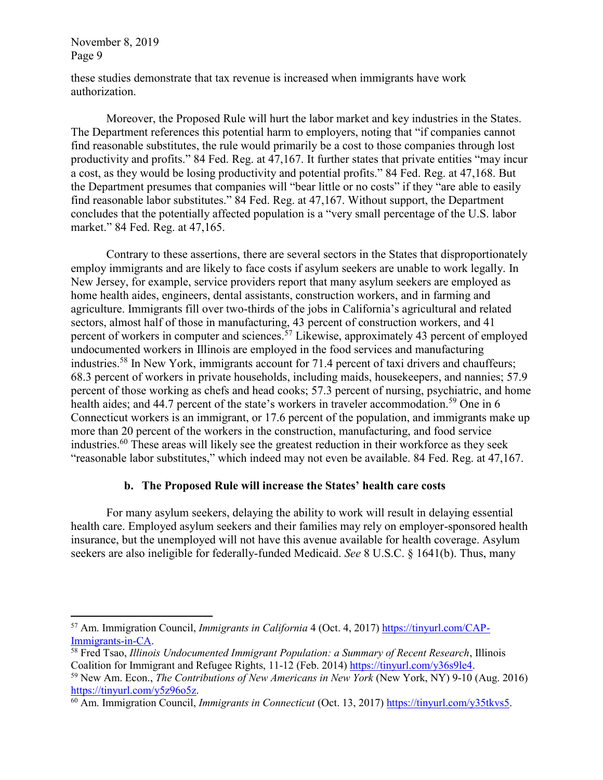these studies demonstrate that tax revenue is increased when immigrants have work authorization.

Moreover, the Proposed Rule will hurt the labor market and key industries in the States. The Department references this potential harm to employers, noting that "if companies cannot find reasonable substitutes, the rule would primarily be a cost to those companies through lost productivity and profits." 84 Fed. Reg. at 47,167. It further states that private entities "may incur a cost, as they would be losing productivity and potential profits." 84 Fed. Reg. at 47,168. But the Department presumes that companies will "bear little or no costs" if they "are able to easily find reasonable labor substitutes." 84 Fed. Reg. at 47,167. Without support, the Department concludes that the potentially affected population is a "very small percentage of the U.S. labor market." 84 Fed. Reg. at 47,165.

Contrary to these assertions, there are several sectors in the States that disproportionately employ immigrants and are likely to face costs if asylum seekers are unable to work legally. In New Jersey, for example, service providers report that many asylum seekers are employed as home health aides, engineers, dental assistants, construction workers, and in farming and agriculture. Immigrants fill over two-thirds of the jobs in California's agricultural and related sectors, almost half of those in manufacturing, 43 percent of construction workers, and 41 percent of workers in computer and sciences.<sup>57</sup> Likewise, approximately 43 percent of employed undocumented workers in Illinois are employed in the food services and manufacturing industries.<sup>58</sup> In New York, immigrants account for 71.4 percent of taxi drivers and chauffeurs; 68.3 percent of workers in private households, including maids, housekeepers, and nannies; 57.9 percent of those working as chefs and head cooks; 57.3 percent of nursing, psychiatric, and home health aides; and 44.7 percent of the state's workers in traveler accommodation.<sup>59</sup> One in 6 Connecticut workers is an immigrant, or 17.6 percent of the population, and immigrants make up more than 20 percent of the workers in the construction, manufacturing, and food service industries. <sup>60</sup> These areas will likely see the greatest reduction in their workforce as they seek "reasonable labor substitutes," which indeed may not even be available. 84 Fed. Reg. at 47,167.

### **b. The Proposed Rule will increase the States' health care costs**

For many asylum seekers, delaying the ability to work will result in delaying essential health care. Employed asylum seekers and their families may rely on employer-sponsored health insurance, but the unemployed will not have this avenue available for health coverage. Asylum seekers are also ineligible for federally-funded Medicaid. *See* 8 U.S.C. § 1641(b). Thus, many

 $\overline{a}$ <sup>57</sup> Am. Immigration Council, *Immigrants in California* 4 (Oct. 4, 2017) [https://tinyurl.com/CAP-](https://tinyurl.com/CAP-Immigrants-in-CA)[Immigrants-in-CA.](https://tinyurl.com/CAP-Immigrants-in-CA)

<sup>58</sup> Fred Tsao, *Illinois Undocumented Immigrant Population: a Summary of Recent Research*, Illinois Coalition for Immigrant and Refugee Rights, 11-12 (Feb. 2014) [https://tinyurl.com/y36s9le4.](https://tinyurl.com/y36s9le4)

<sup>59</sup> New Am. Econ., *The Contributions of New Americans in New York* (New York, NY) 9-10 (Aug. 2016) [https://tinyurl.com/y5z96o5z.](https://tinyurl.com/y5z96o5z)

<sup>60</sup> Am. Immigration Council, *Immigrants in Connecticut* (Oct. 13, 2017) [https://tinyurl.com/y35tkvs5.](https://tinyurl.com/y35tkvs5)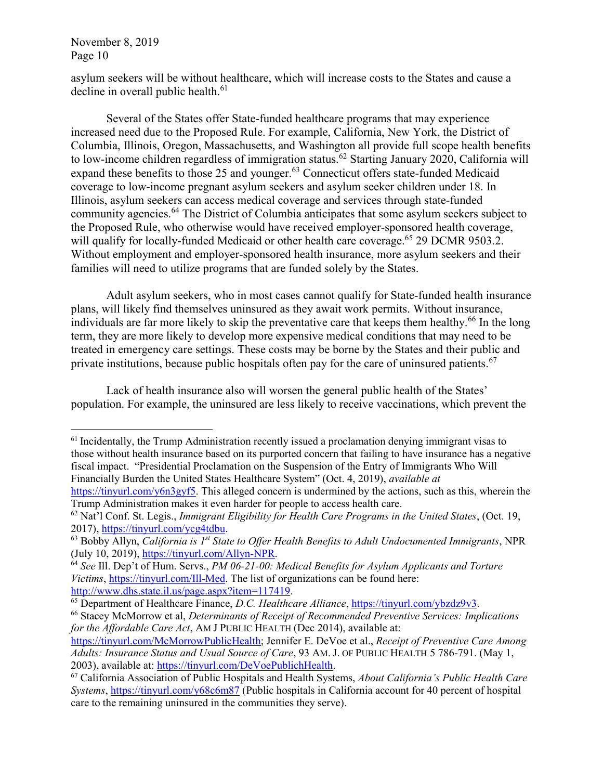$\overline{a}$ 

asylum seekers will be without healthcare, which will increase costs to the States and cause a decline in overall public health.<sup>61</sup>

Several of the States offer State-funded healthcare programs that may experience increased need due to the Proposed Rule. For example, California, New York, the District of Columbia, Illinois, Oregon, Massachusetts, and Washington all provide full scope health benefits to low-income children regardless of immigration status.<sup>62</sup> Starting January 2020, California will expand these benefits to those 25 and younger.<sup>63</sup> Connecticut offers state-funded Medicaid coverage to low-income pregnant asylum seekers and asylum seeker children under 18. In Illinois, asylum seekers can access medical coverage and services through state-funded community agencies.<sup>64</sup> The District of Columbia anticipates that some asylum seekers subject to the Proposed Rule, who otherwise would have received employer-sponsored health coverage, will qualify for locally-funded Medicaid or other health care coverage.<sup>65</sup> 29 DCMR 9503.2. Without employment and employer-sponsored health insurance, more asylum seekers and their families will need to utilize programs that are funded solely by the States.

Adult asylum seekers, who in most cases cannot qualify for State-funded health insurance plans, will likely find themselves uninsured as they await work permits. Without insurance, individuals are far more likely to skip the preventative care that keeps them healthy.<sup>66</sup> In the long term, they are more likely to develop more expensive medical conditions that may need to be treated in emergency care settings. These costs may be borne by the States and their public and private institutions, because public hospitals often pay for the care of uninsured patients.<sup>67</sup>

Lack of health insurance also will worsen the general public health of the States' population. For example, the uninsured are less likely to receive vaccinations, which prevent the

 $<sup>61</sup>$  Incidentally, the Trump Administration recently issued a proclamation denying immigrant visas to</sup> those without health insurance based on its purported concern that failing to have insurance has a negative fiscal impact. "Presidential Proclamation on the Suspension of the Entry of Immigrants Who Will Financially Burden the United States Healthcare System" (Oct. 4, 2019), *available at*

[https://tinyurl.com/y6n3gyf5.](https://tinyurl.com/y6n3gyf5) This alleged concern is undermined by the actions, such as this, wherein the Trump Administration makes it even harder for people to access health care.

<sup>62</sup> Nat'l Conf. St. Legis., *Immigrant Eligibility for Health Care Programs in the United States*, (Oct. 19, 2017), [https://tinyurl.com/ycg4tdbu.](https://tinyurl.com/ycg4tdbu)

<sup>63</sup> Bobby Allyn, *California is 1st State to Offer Health Benefits to Adult Undocumented Immigrants*, NPR (July 10, 2019), [https://tinyurl.com/Allyn-NPR.](https://tinyurl.com/Allyn-NPR)

<sup>64</sup> *See* Ill. Dep't of Hum. Servs., *PM 06-21-00: Medical Benefits for Asylum Applicants and Torture Victims*, [https://tinyurl.com/Ill-Med.](https://tinyurl.com/Ill-Med) The list of organizations can be found here: [http://www.dhs.state.il.us/page.aspx?item=117419.](http://www.dhs.state.il.us/page.aspx?item=117419)

<sup>65</sup> Department of Healthcare Finance, *D.C. Healthcare Alliance*, [https://tinyurl.com/ybzdz9v3.](https://tinyurl.com/ybzdz9v3)

<sup>66</sup> Stacey McMorrow et al, *Determinants of Receipt of Recommended Preventive Services: Implications for the Affordable Care Act*, AM J PUBLIC HEALTH (Dec 2014), available at:

[https://tinyurl.com/McMorrowPublicHealth;](https://tinyurl.com/McMorrowPublicHealth) Jennifer E. DeVoe et al., *Receipt of Preventive Care Among Adults: Insurance Status and Usual Source of Care*, 93 AM. J. OF PUBLIC HEALTH 5 786-791. (May 1, 2003), available at: [https://tinyurl.com/DeVoePublichHealth.](https://tinyurl.com/DeVoePublichHealth)

<sup>67</sup> California Association of Public Hospitals and Health Systems, *About California's Public Health Care Systems*,<https://tinyurl.com/y68c6m87> (Public hospitals in California account for 40 percent of hospital care to the remaining uninsured in the communities they serve).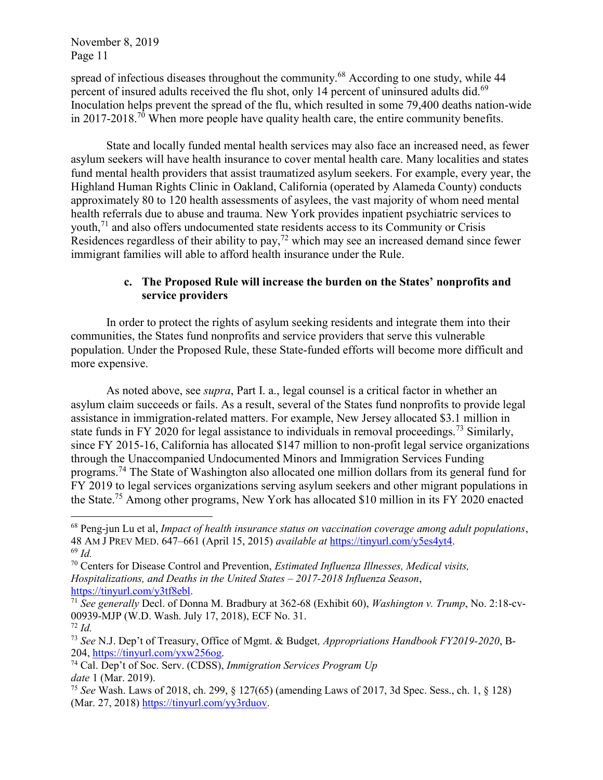spread of infectious diseases throughout the community.<sup>68</sup> According to one study, while 44 percent of insured adults received the flu shot, only 14 percent of uninsured adults did.<sup>69</sup> Inoculation helps prevent the spread of the flu, which resulted in some 79,400 deaths nation-wide in 2017-2018.<sup>70</sup> When more people have quality health care, the entire community benefits.

State and locally funded mental health services may also face an increased need, as fewer asylum seekers will have health insurance to cover mental health care. Many localities and states fund mental health providers that assist traumatized asylum seekers. For example, every year, the Highland Human Rights Clinic in Oakland, California (operated by Alameda County) conducts approximately 80 to 120 health assessments of asylees, the vast majority of whom need mental health referrals due to abuse and trauma. New York provides inpatient psychiatric services to youth,<sup>71</sup> and also offers undocumented state residents access to its Community or Crisis Residences regardless of their ability to pay,<sup>72</sup> which may see an increased demand since fewer immigrant families will able to afford health insurance under the Rule.

### **c. The Proposed Rule will increase the burden on the States' nonprofits and service providers**

In order to protect the rights of asylum seeking residents and integrate them into their communities, the States fund nonprofits and service providers that serve this vulnerable population. Under the Proposed Rule, these State-funded efforts will become more difficult and more expensive.

As noted above, see *supra*, Part I. a., legal counsel is a critical factor in whether an asylum claim succeeds or fails. As a result, several of the States fund nonprofits to provide legal assistance in immigration-related matters. For example, New Jersey allocated \$3.1 million in state funds in FY 2020 for legal assistance to individuals in removal proceedings.<sup>73</sup> Similarly, since FY 2015-16, California has allocated \$147 million to non-profit legal service organizations through the Unaccompanied Undocumented Minors and Immigration Services Funding programs.<sup>74</sup> The State of Washington also allocated one million dollars from its general fund for FY 2019 to legal services organizations serving asylum seekers and other migrant populations in the State.<sup>75</sup> Among other programs, New York has allocated \$10 million in its FY 2020 enacted

<sup>68</sup> Peng-jun Lu et al, *Impact of health insurance status on vaccination coverage among adult populations*, 48 AM J PREV MED. 647–661 (April 15, 2015) *available at* [https://tinyurl.com/y5es4yt4.](https://tinyurl.com/y5es4yt4) <sup>69</sup> *Id.*

<sup>70</sup> Centers for Disease Control and Prevention, *Estimated Influenza Illnesses, Medical visits, Hospitalizations, and Deaths in the United States – 2017-2018 Influenza Season*, [https://tinyurl.com/y3tf8ebl.](https://tinyurl.com/y3tf8ebl)

<sup>71</sup> *See generally* Decl. of Donna M. Bradbury at 362-68 (Exhibit 60), *Washington v. Trump*, No. 2:18-cv-00939-MJP (W.D. Wash. July 17, 2018), ECF No. 31.

<sup>72</sup> *Id.*

<sup>73</sup> *See* N.J. Dep't of Treasury, Office of Mgmt. & Budget*, Appropriations Handbook FY2019-2020*, B-204, [https://tinyurl.com/yxw256og.](https://tinyurl.com/yxw256og)

<sup>74</sup> Cal. Dep't of Soc. Serv. (CDSS), *Immigration Services Program Up date* 1 (Mar. 2019).

<sup>75</sup> *See* Wash. Laws of 2018, ch. 299, § 127(65) (amending Laws of 2017, 3d Spec. Sess., ch. 1, § 128) (Mar. 27, 2018) [https://tinyurl.com/yy3rduov.](https://tinyurl.com/yy3rduov)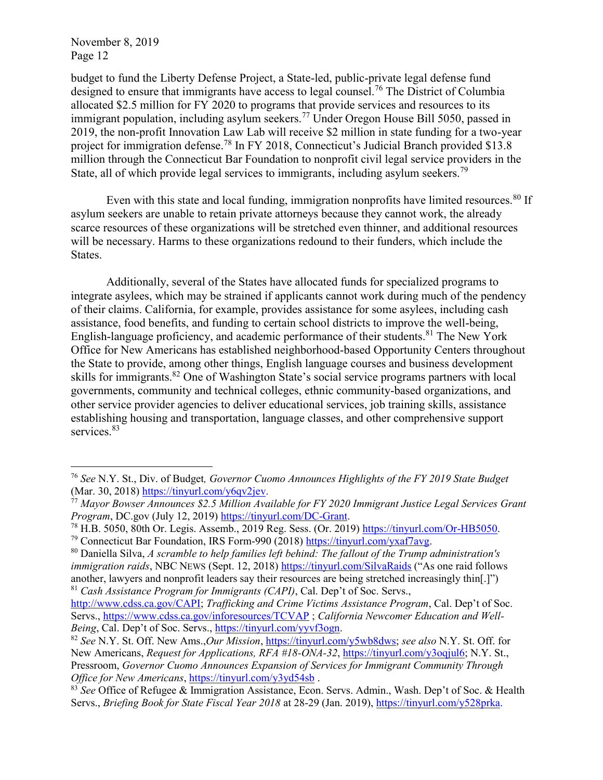$\overline{a}$ 

budget to fund the Liberty Defense Project, a State-led, public-private legal defense fund designed to ensure that immigrants have access to legal counsel.<sup>76</sup> The District of Columbia allocated \$2.5 million for FY 2020 to programs that provide services and resources to its immigrant population, including asylum seekers.<sup>77</sup> Under Oregon House Bill 5050, passed in 2019, the non-profit Innovation Law Lab will receive \$2 million in state funding for a two-year project for immigration defense.<sup>78</sup> In FY 2018, Connecticut's Judicial Branch provided \$13.8 million through the Connecticut Bar Foundation to nonprofit civil legal service providers in the State, all of which provide legal services to immigrants, including asylum seekers.<sup>79</sup>

Even with this state and local funding, immigration nonprofits have limited resources.<sup>80</sup> If asylum seekers are unable to retain private attorneys because they cannot work, the already scarce resources of these organizations will be stretched even thinner, and additional resources will be necessary. Harms to these organizations redound to their funders, which include the States.

Additionally, several of the States have allocated funds for specialized programs to integrate asylees, which may be strained if applicants cannot work during much of the pendency of their claims. California, for example, provides assistance for some asylees, including cash assistance, food benefits, and funding to certain school districts to improve the well-being, English-language proficiency, and academic performance of their students.<sup>81</sup> The New York Office for New Americans has established neighborhood-based Opportunity Centers throughout the State to provide, among other things, English language courses and business development skills for immigrants.<sup>82</sup> One of Washington State's social service programs partners with local governments, community and technical colleges, ethnic community-based organizations, and other service provider agencies to deliver educational services, job training skills, assistance establishing housing and transportation, language classes, and other comprehensive support services.<sup>83</sup>

<sup>76</sup> *See* N.Y. St., Div. of Budget*, Governor Cuomo Announces Highlights of the FY 2019 State Budget*  (Mar. 30, 2018) [https://tinyurl.com/y6qv2jev.](https://tinyurl.com/y6qv2jev)

<sup>77</sup> *Mayor Bowser Announces \$2.5 Million Available for FY 2020 Immigrant Justice Legal Services Grant Program*, DC.gov (July 12, 2019) [https://tinyurl.com/DC-Grant.](https://tinyurl.com/DC-Grant)

<sup>78</sup> H.B. 5050, 80th Or. Legis. Assemb., 2019 Reg. Sess. (Or. 2019) [https://tinyurl.com/Or-HB5050.](https://tinyurl.com/Or-HB5050)

<sup>79</sup> Connecticut Bar Foundation, IRS Form-990 (2018) [https://tinyurl.com/yxaf7avg.](https://tinyurl.com/yxaf7avg)

<sup>80</sup> Daniella Silva, *A scramble to help families left behind: The fallout of the Trump administration's immigration raids*, NBC NEWS (Sept. 12, 2018)<https://tinyurl.com/SilvaRaids> ("As one raid follows another, lawyers and nonprofit leaders say their resources are being stretched increasingly thin[.]") <sup>81</sup> *Cash Assistance Program for Immigrants (CAPI)*, Cal. Dep't of Soc. Servs.,

[http://www.cdss.ca.gov/CAPI;](http://www.cdss.ca.gov/CAPI) *Trafficking and Crime Victims Assistance Program*, Cal. Dep't of Soc. Servs.,<https://www.cdss.ca.gov/inforesources/TCVAP> ; *California Newcomer Education and Well-Being*, Cal. Dep't of Soc. Servs., [https://tinyurl.com/yyvf3ogn.](https://tinyurl.com/yyvf3ogn)

<sup>82</sup> *See* N.Y. St. Off. New Ams.,*Our Mission*, [https://tinyurl.com/y5wb8dws;](https://tinyurl.com/y5wb8dws) *see also* N.Y. St. Off. for New Americans, *Request for Applications, RFA #18-ONA-32*, [https://tinyurl.com/y3oqjul6;](https://tinyurl.com/y3oqjul6) N.Y. St., Pressroom, *Governor Cuomo Announces Expansion of Services for Immigrant Community Through Office for New Americans*,<https://tinyurl.com/y3yd54sb>.

<sup>83</sup> *See* Office of Refugee & Immigration Assistance, Econ. Servs. Admin., Wash. Dep't of Soc. & Health Servs., *Briefing Book for State Fiscal Year 2018* at 28-29 (Jan. 2019), [https://tinyurl.com/y528prka.](https://tinyurl.com/y528prka)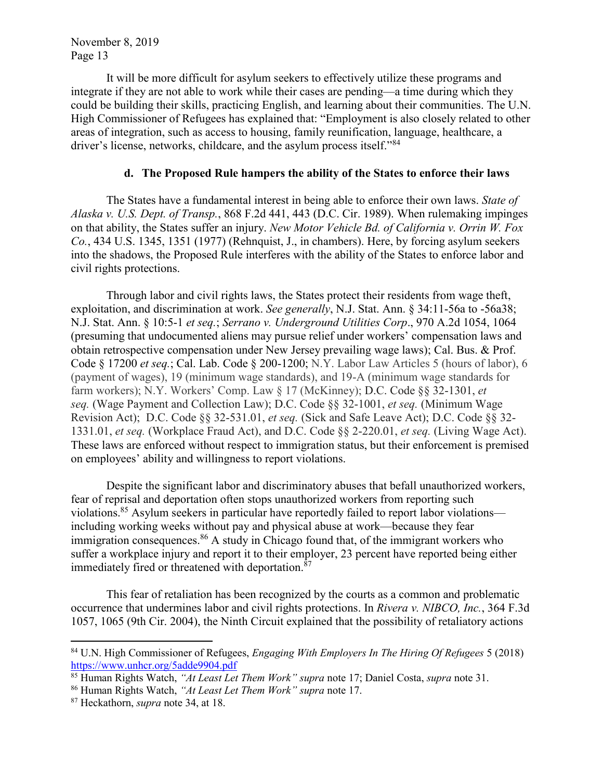It will be more difficult for asylum seekers to effectively utilize these programs and integrate if they are not able to work while their cases are pending—a time during which they could be building their skills, practicing English, and learning about their communities. The U.N. High Commissioner of Refugees has explained that: "Employment is also closely related to other areas of integration, such as access to housing, family reunification, language, healthcare, a driver's license, networks, childcare, and the asylum process itself."<sup>84</sup>

### **d. The Proposed Rule hampers the ability of the States to enforce their laws**

The States have a fundamental interest in being able to enforce their own laws. *State of Alaska v. U.S. Dept. of Transp.*, 868 F.2d 441, 443 (D.C. Cir. 1989). When rulemaking impinges on that ability, the States suffer an injury. *New Motor Vehicle Bd. of California v. Orrin W. Fox Co.*, 434 U.S. 1345, 1351 (1977) (Rehnquist, J., in chambers). Here, by forcing asylum seekers into the shadows, the Proposed Rule interferes with the ability of the States to enforce labor and civil rights protections.

Through labor and civil rights laws, the States protect their residents from wage theft, exploitation, and discrimination at work. *See generally*, N.J. Stat. Ann. § 34:11-56a to -56a38; N.J. Stat. Ann. § 10:5-1 *et seq.*; *Serrano v. Underground Utilities Corp*., 970 A.2d 1054, 1064 (presuming that undocumented aliens may pursue relief under workers' compensation laws and obtain retrospective compensation under New Jersey prevailing wage laws); Cal. Bus. & Prof. Code § 17200 *et seq.*; Cal. Lab. Code § 200-1200; N.Y. Labor Law Articles 5 (hours of labor), 6 (payment of wages), 19 (minimum wage standards), and 19-A (minimum wage standards for farm workers); N.Y. Workers' Comp. Law § 17 (McKinney); D.C. Code §§ 32-1301, *et seq.* (Wage Payment and Collection Law); D.C. Code §§ 32-1001, *et seq.* (Minimum Wage Revision Act); D.C. Code §§ 32-531.01, *et seq.* (Sick and Safe Leave Act); D.C. Code §§ 32- 1331.01, *et seq.* (Workplace Fraud Act), and D.C. Code §§ 2-220.01, *et seq.* (Living Wage Act). These laws are enforced without respect to immigration status, but their enforcement is premised on employees' ability and willingness to report violations.

Despite the significant labor and discriminatory abuses that befall unauthorized workers, fear of reprisal and deportation often stops unauthorized workers from reporting such violations.<sup>85</sup> Asylum seekers in particular have reportedly failed to report labor violations including working weeks without pay and physical abuse at work—because they fear immigration consequences. <sup>86</sup> A study in Chicago found that, of the immigrant workers who suffer a workplace injury and report it to their employer, 23 percent have reported being either immediately fired or threatened with deportation.<sup>87</sup>

This fear of retaliation has been recognized by the courts as a common and problematic occurrence that undermines labor and civil rights protections. In *Rivera v. NIBCO, Inc.*, 364 F.3d 1057, 1065 (9th Cir. 2004), the Ninth Circuit explained that the possibility of retaliatory actions

<sup>84</sup> U.N. High Commissioner of Refugees, *Engaging With Employers In The Hiring Of Refugees* 5 (2018) <https://www.unhcr.org/5adde9904.pdf>

<sup>85</sup> Human Rights Watch, *"At Least Let Them Work" supra* note 17; Daniel Costa, *supra* note 31.

<sup>86</sup> Human Rights Watch, *"At Least Let Them Work" supra* note 17.

<sup>87</sup> Heckathorn, *supra* note 34, at 18.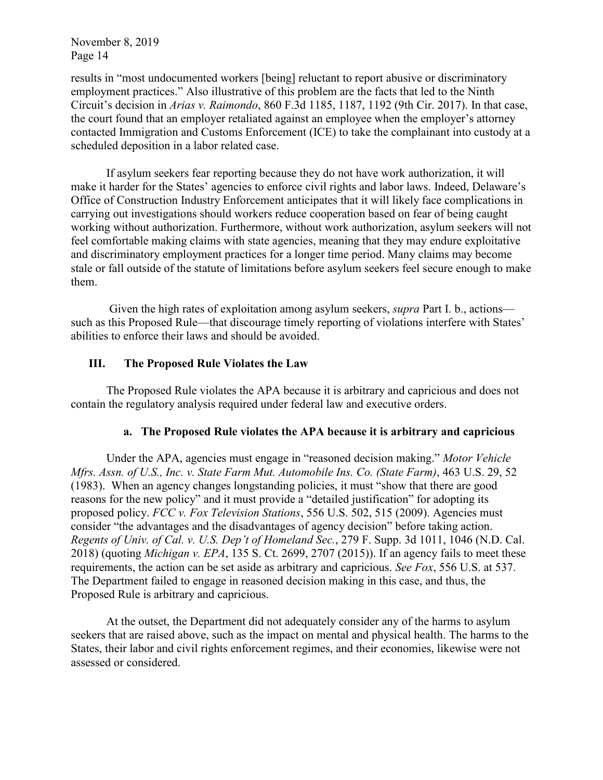results in "most undocumented workers [being] reluctant to report abusive or discriminatory employment practices." Also illustrative of this problem are the facts that led to the Ninth Circuit's decision in *Arias v. Raimondo*, 860 F.3d 1185, 1187, 1192 (9th Cir. 2017). In that case, the court found that an employer retaliated against an employee when the employer's attorney contacted Immigration and Customs Enforcement (ICE) to take the complainant into custody at a scheduled deposition in a labor related case.

If asylum seekers fear reporting because they do not have work authorization, it will make it harder for the States' agencies to enforce civil rights and labor laws. Indeed, Delaware's Office of Construction Industry Enforcement anticipates that it will likely face complications in carrying out investigations should workers reduce cooperation based on fear of being caught working without authorization. Furthermore, without work authorization, asylum seekers will not feel comfortable making claims with state agencies, meaning that they may endure exploitative and discriminatory employment practices for a longer time period. Many claims may become stale or fall outside of the statute of limitations before asylum seekers feel secure enough to make them.

Given the high rates of exploitation among asylum seekers, *supra* Part I. b., actions such as this Proposed Rule—that discourage timely reporting of violations interfere with States' abilities to enforce their laws and should be avoided.

### **III. The Proposed Rule Violates the Law**

The Proposed Rule violates the APA because it is arbitrary and capricious and does not contain the regulatory analysis required under federal law and executive orders.

#### **a. The Proposed Rule violates the APA because it is arbitrary and capricious**

Under the APA, agencies must engage in "reasoned decision making." *Motor Vehicle Mfrs. Assn. of U.S., Inc. v. State Farm Mut. Automobile Ins. Co. (State Farm)*, 463 U.S. 29, 52 (1983). When an agency changes longstanding policies, it must "show that there are good reasons for the new policy" and it must provide a "detailed justification" for adopting its proposed policy. *FCC v. Fox Television Stations*, 556 U.S. 502, 515 (2009). Agencies must consider "the advantages and the disadvantages of agency decision" before taking action. *Regents of Univ. of Cal. v. U.S. Dep't of Homeland Sec.*, 279 F. Supp. 3d 1011, 1046 (N.D. Cal. 2018) (quoting *Michigan v. EPA*, 135 S. Ct. 2699, 2707 (2015)). If an agency fails to meet these requirements, the action can be set aside as arbitrary and capricious. *See Fox*, 556 U.S. at 537. The Department failed to engage in reasoned decision making in this case, and thus, the Proposed Rule is arbitrary and capricious.

At the outset, the Department did not adequately consider any of the harms to asylum seekers that are raised above, such as the impact on mental and physical health. The harms to the States, their labor and civil rights enforcement regimes, and their economies, likewise were not assessed or considered.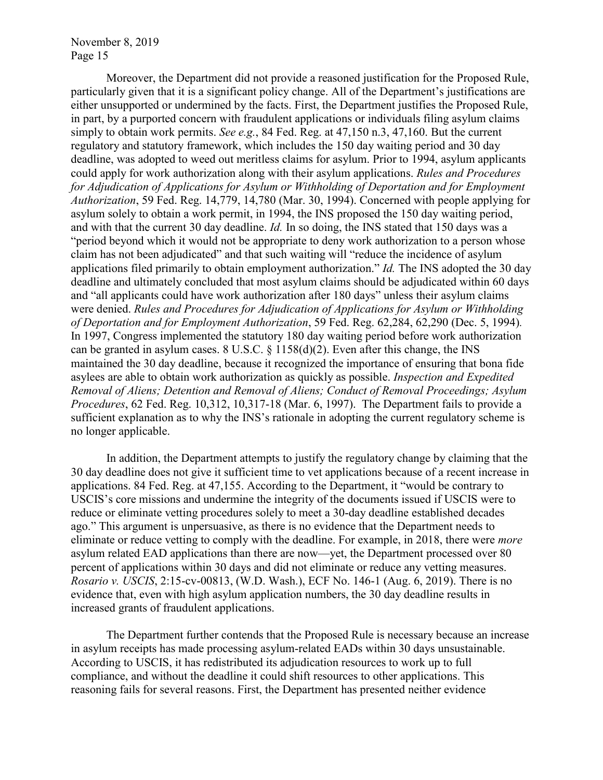Moreover, the Department did not provide a reasoned justification for the Proposed Rule, particularly given that it is a significant policy change. All of the Department's justifications are either unsupported or undermined by the facts. First, the Department justifies the Proposed Rule, in part, by a purported concern with fraudulent applications or individuals filing asylum claims simply to obtain work permits. *See e.g.*, 84 Fed. Reg. at 47,150 n.3, 47,160. But the current regulatory and statutory framework, which includes the 150 day waiting period and 30 day deadline, was adopted to weed out meritless claims for asylum. Prior to 1994, asylum applicants could apply for work authorization along with their asylum applications. *Rules and Procedures for Adjudication of Applications for Asylum or Withholding of Deportation and for Employment Authorization*, 59 Fed. Reg. 14,779, 14,780 (Mar. 30, 1994). Concerned with people applying for asylum solely to obtain a work permit, in 1994, the INS proposed the 150 day waiting period, and with that the current 30 day deadline. *Id.* In so doing, the INS stated that 150 days was a "period beyond which it would not be appropriate to deny work authorization to a person whose claim has not been adjudicated" and that such waiting will "reduce the incidence of asylum applications filed primarily to obtain employment authorization." *Id.* The INS adopted the 30 day deadline and ultimately concluded that most asylum claims should be adjudicated within 60 days and "all applicants could have work authorization after 180 days" unless their asylum claims were denied. *Rules and Procedures for Adjudication of Applications for Asylum or Withholding of Deportation and for Employment Authorization*, 59 Fed. Reg. 62,284, 62,290 (Dec. 5, 1994)*.* In 1997, Congress implemented the statutory 180 day waiting period before work authorization can be granted in asylum cases. 8 U.S.C. § 1158(d)(2). Even after this change, the INS maintained the 30 day deadline, because it recognized the importance of ensuring that bona fide asylees are able to obtain work authorization as quickly as possible. *Inspection and Expedited Removal of Aliens; Detention and Removal of Aliens; Conduct of Removal Proceedings; Asylum Procedures*, 62 Fed. Reg. 10,312, 10,317-18 (Mar. 6, 1997). The Department fails to provide a sufficient explanation as to why the INS's rationale in adopting the current regulatory scheme is no longer applicable.

In addition, the Department attempts to justify the regulatory change by claiming that the 30 day deadline does not give it sufficient time to vet applications because of a recent increase in applications. 84 Fed. Reg. at 47,155. According to the Department, it "would be contrary to USCIS's core missions and undermine the integrity of the documents issued if USCIS were to reduce or eliminate vetting procedures solely to meet a 30-day deadline established decades ago." This argument is unpersuasive, as there is no evidence that the Department needs to eliminate or reduce vetting to comply with the deadline. For example, in 2018, there were *more* asylum related EAD applications than there are now—yet, the Department processed over 80 percent of applications within 30 days and did not eliminate or reduce any vetting measures. *Rosario v. USCIS*, 2:15-cv-00813, (W.D. Wash.), ECF No. 146-1 (Aug. 6, 2019). There is no evidence that, even with high asylum application numbers, the 30 day deadline results in increased grants of fraudulent applications.

The Department further contends that the Proposed Rule is necessary because an increase in asylum receipts has made processing asylum-related EADs within 30 days unsustainable. According to USCIS, it has redistributed its adjudication resources to work up to full compliance, and without the deadline it could shift resources to other applications. This reasoning fails for several reasons. First, the Department has presented neither evidence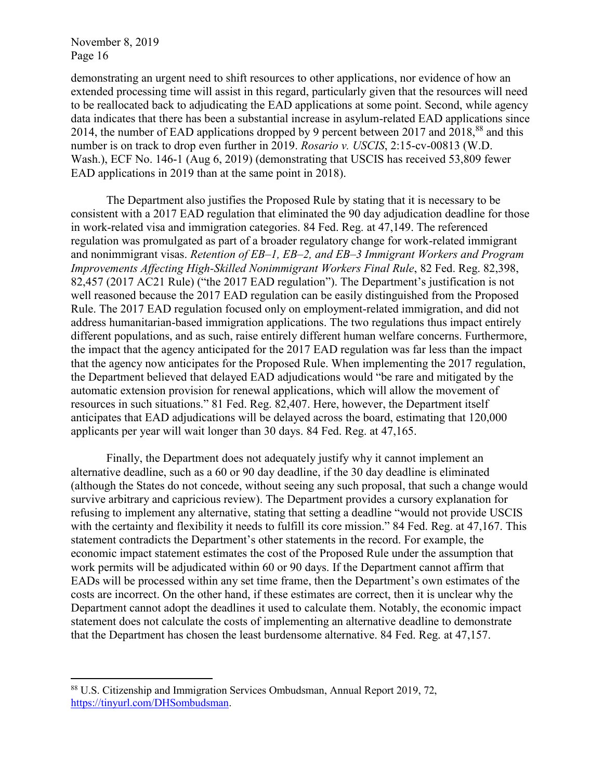$\overline{a}$ 

demonstrating an urgent need to shift resources to other applications, nor evidence of how an extended processing time will assist in this regard, particularly given that the resources will need to be reallocated back to adjudicating the EAD applications at some point. Second, while agency data indicates that there has been a substantial increase in asylum-related EAD applications since 2014, the number of EAD applications dropped by 9 percent between 2017 and 2018,<sup>88</sup> and this number is on track to drop even further in 2019. *Rosario v. USCIS*, 2:15-cv-00813 (W.D. Wash.), ECF No. 146-1 (Aug 6, 2019) (demonstrating that USCIS has received 53,809 fewer EAD applications in 2019 than at the same point in 2018).

The Department also justifies the Proposed Rule by stating that it is necessary to be consistent with a 2017 EAD regulation that eliminated the 90 day adjudication deadline for those in work-related visa and immigration categories. 84 Fed. Reg. at 47,149. The referenced regulation was promulgated as part of a broader regulatory change for work-related immigrant and nonimmigrant visas. *Retention of EB–1, EB–2, and EB–3 Immigrant Workers and Program Improvements Affecting High-Skilled Nonimmigrant Workers Final Rule*, 82 Fed. Reg. 82,398, 82,457 (2017 AC21 Rule) ("the 2017 EAD regulation"). The Department's justification is not well reasoned because the 2017 EAD regulation can be easily distinguished from the Proposed Rule. The 2017 EAD regulation focused only on employment-related immigration, and did not address humanitarian-based immigration applications. The two regulations thus impact entirely different populations, and as such, raise entirely different human welfare concerns. Furthermore, the impact that the agency anticipated for the 2017 EAD regulation was far less than the impact that the agency now anticipates for the Proposed Rule. When implementing the 2017 regulation, the Department believed that delayed EAD adjudications would "be rare and mitigated by the automatic extension provision for renewal applications, which will allow the movement of resources in such situations." 81 Fed. Reg. 82,407. Here, however, the Department itself anticipates that EAD adjudications will be delayed across the board, estimating that 120,000 applicants per year will wait longer than 30 days. 84 Fed. Reg. at 47,165.

Finally, the Department does not adequately justify why it cannot implement an alternative deadline, such as a 60 or 90 day deadline, if the 30 day deadline is eliminated (although the States do not concede, without seeing any such proposal, that such a change would survive arbitrary and capricious review). The Department provides a cursory explanation for refusing to implement any alternative, stating that setting a deadline "would not provide USCIS with the certainty and flexibility it needs to fulfill its core mission." 84 Fed. Reg. at 47,167. This statement contradicts the Department's other statements in the record. For example, the economic impact statement estimates the cost of the Proposed Rule under the assumption that work permits will be adjudicated within 60 or 90 days. If the Department cannot affirm that EADs will be processed within any set time frame, then the Department's own estimates of the costs are incorrect. On the other hand, if these estimates are correct, then it is unclear why the Department cannot adopt the deadlines it used to calculate them. Notably, the economic impact statement does not calculate the costs of implementing an alternative deadline to demonstrate that the Department has chosen the least burdensome alternative. 84 Fed. Reg. at 47,157.

<sup>88</sup> U.S. Citizenship and Immigration Services Ombudsman, Annual Report 2019, 72, [https://tinyurl.com/DHSombudsman.](https://tinyurl.com/DHSombudsman)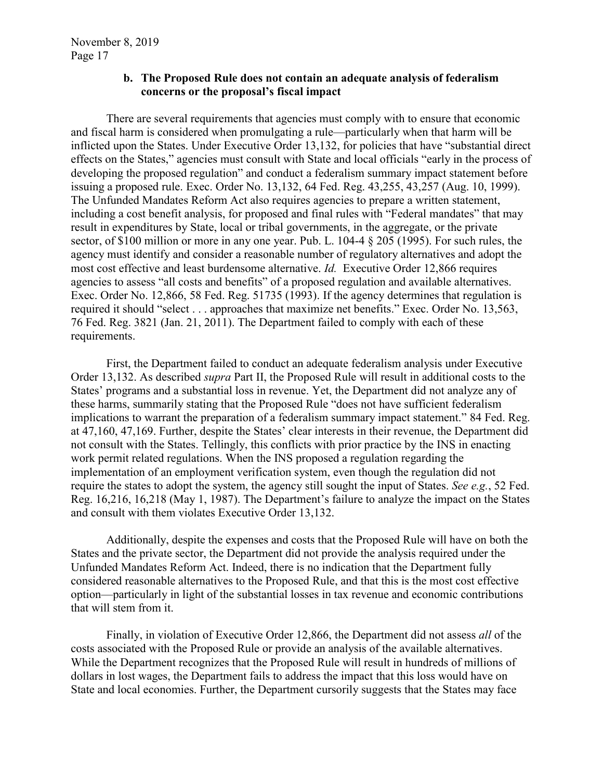#### **b. The Proposed Rule does not contain an adequate analysis of federalism concerns or the proposal's fiscal impact**

There are several requirements that agencies must comply with to ensure that economic and fiscal harm is considered when promulgating a rule—particularly when that harm will be inflicted upon the States. Under Executive Order 13,132, for policies that have "substantial direct effects on the States," agencies must consult with State and local officials "early in the process of developing the proposed regulation" and conduct a federalism summary impact statement before issuing a proposed rule. Exec. Order No. 13,132, 64 Fed. Reg. 43,255, 43,257 (Aug. 10, 1999). The Unfunded Mandates Reform Act also requires agencies to prepare a written statement, including a cost benefit analysis, for proposed and final rules with "Federal mandates" that may result in expenditures by State, local or tribal governments, in the aggregate, or the private sector, of \$100 million or more in any one year. Pub. L. 104-4 § 205 (1995). For such rules, the agency must identify and consider a reasonable number of regulatory alternatives and adopt the most cost effective and least burdensome alternative. *Id.* Executive Order 12,866 requires agencies to assess "all costs and benefits" of a proposed regulation and available alternatives. Exec. Order No. 12,866, 58 Fed. Reg. 51735 (1993). If the agency determines that regulation is required it should "select . . . approaches that maximize net benefits." Exec. Order No. 13,563, 76 Fed. Reg. 3821 (Jan. 21, 2011). The Department failed to comply with each of these requirements.

First, the Department failed to conduct an adequate federalism analysis under Executive Order 13,132. As described *supra* Part II, the Proposed Rule will result in additional costs to the States' programs and a substantial loss in revenue. Yet, the Department did not analyze any of these harms, summarily stating that the Proposed Rule "does not have sufficient federalism implications to warrant the preparation of a federalism summary impact statement." 84 Fed. Reg. at 47,160, 47,169. Further, despite the States' clear interests in their revenue, the Department did not consult with the States. Tellingly, this conflicts with prior practice by the INS in enacting work permit related regulations. When the INS proposed a regulation regarding the implementation of an employment verification system, even though the regulation did not require the states to adopt the system, the agency still sought the input of States. *See e.g.*, 52 Fed. Reg. 16,216, 16,218 (May 1, 1987). The Department's failure to analyze the impact on the States and consult with them violates Executive Order 13,132.

Additionally, despite the expenses and costs that the Proposed Rule will have on both the States and the private sector, the Department did not provide the analysis required under the Unfunded Mandates Reform Act. Indeed, there is no indication that the Department fully considered reasonable alternatives to the Proposed Rule, and that this is the most cost effective option—particularly in light of the substantial losses in tax revenue and economic contributions that will stem from it.

Finally, in violation of Executive Order 12,866, the Department did not assess *all* of the costs associated with the Proposed Rule or provide an analysis of the available alternatives. While the Department recognizes that the Proposed Rule will result in hundreds of millions of dollars in lost wages, the Department fails to address the impact that this loss would have on State and local economies. Further, the Department cursorily suggests that the States may face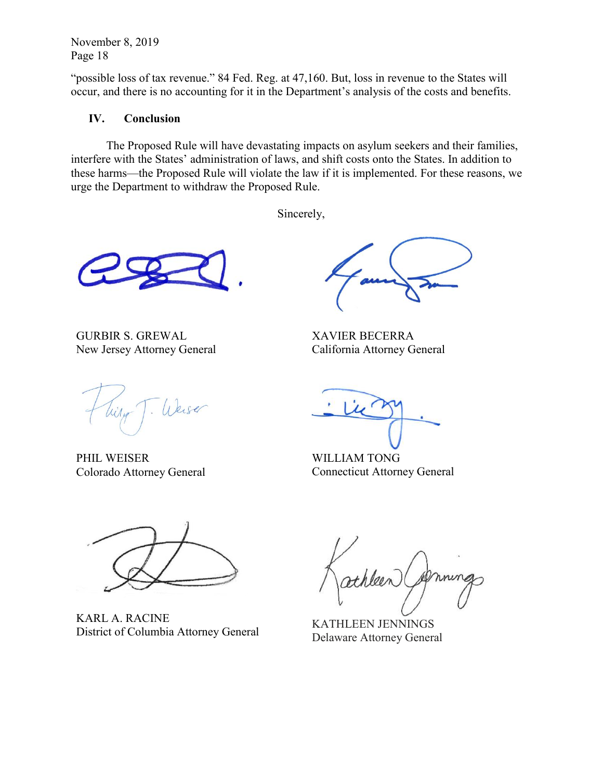"possible loss of tax revenue." 84 Fed. Reg. at 47,160. But, loss in revenue to the States will occur, and there is no accounting for it in the Department's analysis of the costs and benefits.

### **IV. Conclusion**

The Proposed Rule will have devastating impacts on asylum seekers and their families, interfere with the States' administration of laws, and shift costs onto the States. In addition to these harms—the Proposed Rule will violate the law if it is implemented. For these reasons, we urge the Department to withdraw the Proposed Rule.

Sincerely,

GURBIR S. GREWAL New Jersey Attorney General

Weise

PHIL WEISER Colorado Attorney General

XAVIER BECERRA California Attorney General

WILLIAM TONG Connecticut Attorney General



KARL A. RACINE District of Columbia Attorney General KATHLEEN JENNINGS

rthleen

Delaware Attorney General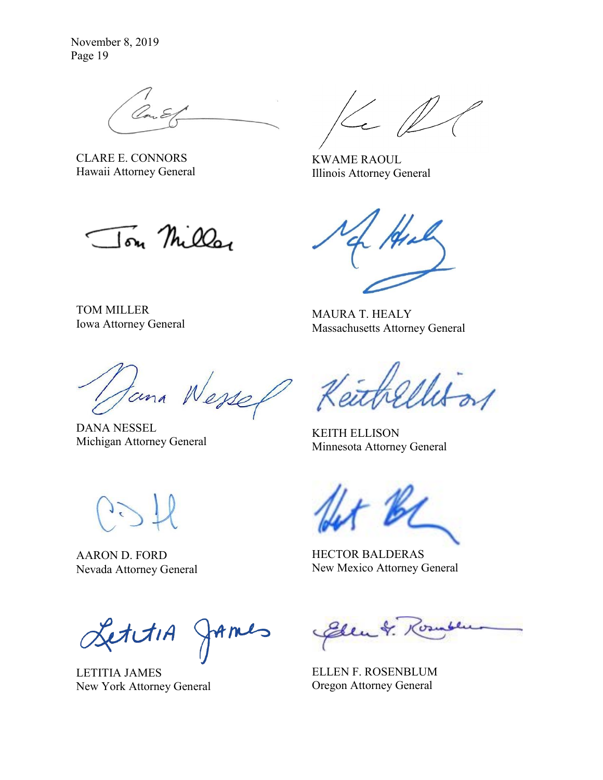CLARE E. CONNORS Hawaii Attorney General

TOM MILLER

Iowa Attorney General

KWAME RAOUL Illinois Attorney General

Jon Miller

MAURA T. HEALY Massachusetts Attorney General

Wessel tuna

DANA NESSEL Michigan Attorney General KEITH ELLISON

AARON D. FORD Nevada Attorney General

LettiA James

LETITIA JAMES New York Attorney General

Minnesota Attorney General

HECTOR BALDERAS New Mexico Attorney General

Elen &. 1

ELLEN F. ROSENBLUM Oregon Attorney General